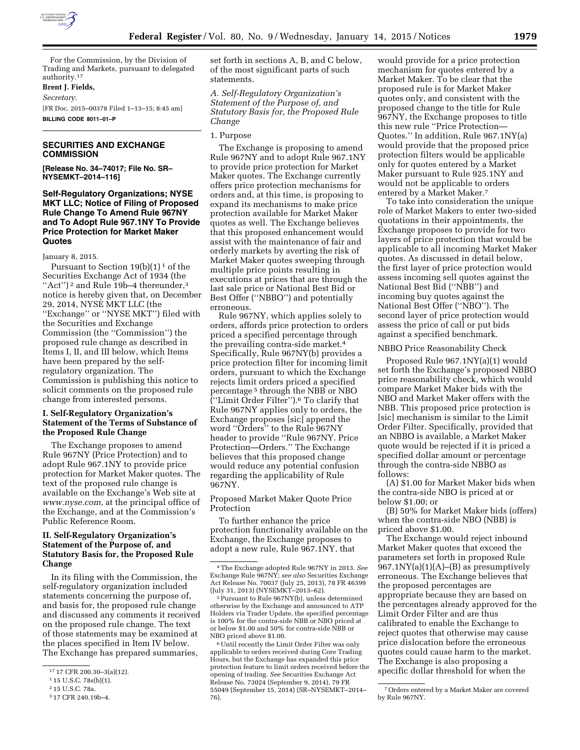

For the Commission, by the Division of Trading and Markets, pursuant to delegated authority.17

### **Brent J. Fields,**

*Secretary.* 

[FR Doc. 2015–00378 Filed 1–13–15; 8:45 am] **BILLING CODE 8011–01–P** 

# **SECURITIES AND EXCHANGE COMMISSION**

**[Release No. 34–74017; File No. SR– NYSEMKT–2014–116]** 

### **Self-Regulatory Organizations; NYSE MKT LLC; Notice of Filing of Proposed Rule Change To Amend Rule 967NY and To Adopt Rule 967.1NY To Provide Price Protection for Market Maker Quotes**

January 8, 2015.

Pursuant to Section  $19(b)(1)^1$  of the Securities Exchange Act of 1934 (the "Act")<sup>2</sup> and Rule 19b-4 thereunder,<sup>3</sup> notice is hereby given that, on December 29, 2014, NYSE MKT LLC (the ''Exchange'' or ''NYSE MKT'') filed with the Securities and Exchange Commission (the ''Commission'') the proposed rule change as described in Items I, II, and III below, which Items have been prepared by the selfregulatory organization. The Commission is publishing this notice to solicit comments on the proposed rule change from interested persons.

# **I. Self-Regulatory Organization's Statement of the Terms of Substance of the Proposed Rule Change**

The Exchange proposes to amend Rule 967NY (Price Protection) and to adopt Rule 967.1NY to provide price protection for Market Maker quotes. The text of the proposed rule change is available on the Exchange's Web site at *[www.nyse.com,](http://www.nyse.com)* at the principal office of the Exchange, and at the Commission's Public Reference Room.

# **II. Self-Regulatory Organization's Statement of the Purpose of, and Statutory Basis for, the Proposed Rule Change**

In its filing with the Commission, the self-regulatory organization included statements concerning the purpose of, and basis for, the proposed rule change and discussed any comments it received on the proposed rule change. The text of those statements may be examined at the places specified in Item IV below. The Exchange has prepared summaries,

set forth in sections A, B, and C below, of the most significant parts of such statements.

*A. Self-Regulatory Organization's Statement of the Purpose of, and Statutory Basis for, the Proposed Rule Change* 

#### 1. Purpose

The Exchange is proposing to amend Rule 967NY and to adopt Rule 967.1NY to provide price protection for Market Maker quotes. The Exchange currently offers price protection mechanisms for orders and, at this time, is proposing to expand its mechanisms to make price protection available for Market Maker quotes as well. The Exchange believes that this proposed enhancement would assist with the maintenance of fair and orderly markets by averting the risk of Market Maker quotes sweeping through multiple price points resulting in executions at prices that are through the last sale price or National Best Bid or Best Offer (''NBBO'') and potentially erroneous.

Rule 967NY, which applies solely to orders, affords price protection to orders priced a specified percentage through the prevailing contra-side market.4 Specifically, Rule 967NY(b) provides a price protection filter for incoming limit orders, pursuant to which the Exchange rejects limit orders priced a specified percentage 5 through the NBB or NBO <sup>["</sup>Limit Order Filter").<sup>6</sup> To clarify that Rule 967NY applies only to orders, the Exchange proposes [sic] append the word ''Orders'' to the Rule 967NY header to provide ''Rule 967NY. Price Protection—Orders.'' The Exchange believes that this proposed change would reduce any potential confusion regarding the applicability of Rule 967NY.

Proposed Market Maker Quote Price Protection

To further enhance the price protection functionality available on the Exchange, the Exchange proposes to adopt a new rule, Rule 967.1NY, that

would provide for a price protection mechanism for quotes entered by a Market Maker. To be clear that the proposed rule is for Market Maker quotes only, and consistent with the proposed change to the title for Rule 967NY, the Exchange proposes to title this new rule ''Price Protection— Quotes.'' In addition, Rule 967.1NY(a) would provide that the proposed price protection filters would be applicable only for quotes entered by a Market Maker pursuant to Rule 925.1NY and would not be applicable to orders entered by a Market Maker.7

To take into consideration the unique role of Market Makers to enter two-sided quotations in their appointments, the Exchange proposes to provide for two layers of price protection that would be applicable to all incoming Market Maker quotes. As discussed in detail below, the first layer of price protection would assess incoming sell quotes against the National Best Bid (''NBB'') and incoming buy quotes against the National Best Offer (''NBO''). The second layer of price protection would assess the price of call or put bids against a specified benchmark.

## NBBO Price Reasonability Check

Proposed Rule 967.1NY(a)(1) would set forth the Exchange's proposed NBBO price reasonability check, which would compare Market Maker bids with the NBO and Market Maker offers with the NBB. This proposed price protection is [sic] mechanism is similar to the Limit Order Filter. Specifically, provided that an NBBO is available, a Market Maker quote would be rejected if it is priced a specified dollar amount or percentage through the contra-side NBBO as follows:

(A) \$1.00 for Market Maker bids when the contra-side NBO is priced at or below \$1.00; or

(B) 50% for Market Maker bids (offers) when the contra-side NBO (NBB) is priced above \$1.00.

The Exchange would reject inbound Market Maker quotes that exceed the parameters set forth in proposed Rule  $967.1\text{NY}(a)(1)(A)$ –(B) as presumptively erroneous. The Exchange believes that the proposed percentages are appropriate because they are based on the percentages already approved for the Limit Order Filter and are thus calibrated to enable the Exchange to reject quotes that otherwise may cause price dislocation before the erroneous quotes could cause harm to the market. The Exchange is also proposing a specific dollar threshold for when the

<sup>17</sup> 17 CFR 200.30–3(a)(12).

<sup>1</sup> 15 U.S.C. 78s(b)(1).

<sup>2</sup> 15 U.S.C. 78a.

<sup>3</sup> 17 CFR 240.19b–4.

<sup>4</sup>The Exchange adopted Rule 967NY in 2013. *See*  Exchange Rule 967NY; *see also* Securities Exchange Act Release No. 70037 (July 25, 2013), 78 FR 46399 (July 31, 2013) (NYSEMKT–2013–62).

<sup>5</sup>Pursuant to Rule 967NY(b), unless determined otherwise by the Exchange and announced to ATP Holders via Trader Update, the specified percentage is 100% for the contra-side NBB or NBO priced at or below \$1.00 and 50% for contra-side NBB or NBO priced above \$1.00.

<sup>6</sup>Until recently the Limit Order Filter was only applicable to orders received during Core Trading Hours, but the Exchange has expanded this price protection feature to limit orders received before the opening of trading. *See* Securities Exchange Act Release No. 73024 (September 9, 2014), 79 FR 55049 (September 15, 2014) (SR–NYSEMKT–2014– 76).

<sup>7</sup>Orders entered by a Market Maker are covered by Rule 967NY.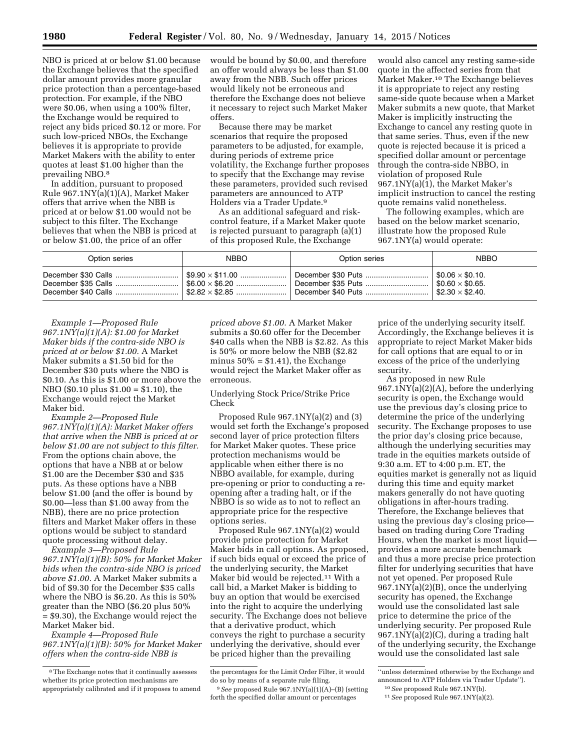NBO is priced at or below \$1.00 because the Exchange believes that the specified dollar amount provides more granular price protection than a percentage-based protection. For example, if the NBO were \$0.06, when using a 100% filter, the Exchange would be required to reject any bids priced \$0.12 or more. For such low-priced NBOs, the Exchange believes it is appropriate to provide Market Makers with the ability to enter quotes at least \$1.00 higher than the prevailing NBO.8

In addition, pursuant to proposed Rule 967.1NY(a)(1)(A), Market Maker offers that arrive when the NBB is priced at or below \$1.00 would not be subject to this filter. The Exchange believes that when the NBB is priced at or below \$1.00, the price of an offer

would be bound by \$0.00, and therefore an offer would always be less than \$1.00 away from the NBB. Such offer prices would likely not be erroneous and therefore the Exchange does not believe it necessary to reject such Market Maker offers.

Because there may be market scenarios that require the proposed parameters to be adjusted, for example, during periods of extreme price volatility, the Exchange further proposes to specify that the Exchange may revise these parameters, provided such revised parameters are announced to ATP Holders via a Trader Update.9

As an additional safeguard and riskcontrol feature, if a Market Maker quote is rejected pursuant to paragraph (a)(1) of this proposed Rule, the Exchange

would also cancel any resting same-side quote in the affected series from that Market Maker.10 The Exchange believes it is appropriate to reject any resting same-side quote because when a Market Maker submits a new quote, that Market Maker is implicitly instructing the Exchange to cancel any resting quote in that same series. Thus, even if the new quote is rejected because it is priced a specified dollar amount or percentage through the contra-side NBBO, in violation of proposed Rule 967.1NY(a)(1), the Market Maker's implicit instruction to cancel the resting quote remains valid nonetheless.

The following examples, which are based on the below market scenario, illustrate how the proposed Rule 967.1NY(a) would operate:

| Option series | <b>NBBO</b>                          | Option series                                                       | <b>NBBO</b>                           |
|---------------|--------------------------------------|---------------------------------------------------------------------|---------------------------------------|
|               | $\frac{1}{2}$ \$6.00 $\times$ \$6.20 | December \$30 Puts    \$0.06 $\times$ \$0.10.<br>December \$35 Puts | $\frac{1}{2}$ \$0.60 $\times$ \$0.65. |

*Example 1—Proposed Rule 967.1NY(a)(1)(A): \$1.00 for Market Maker bids if the contra-side NBO is priced at or below \$1.00.* A Market Maker submits a \$1.50 bid for the December \$30 puts where the NBO is \$0.10. As this is \$1.00 or more above the NBO (\$0.10 plus \$1.00 = \$1.10), the Exchange would reject the Market Maker bid.

*Example 2—Proposed Rule 967.1NY(a)(1)(A): Market Maker offers that arrive when the NBB is priced at or below \$1.00 are not subject to this filter.*  From the options chain above, the options that have a NBB at or below \$1.00 are the December \$30 and \$35 puts. As these options have a NBB below \$1.00 (and the offer is bound by \$0.00—less than \$1.00 away from the NBB), there are no price protection filters and Market Maker offers in these options would be subject to standard quote processing without delay.

*Example 3—Proposed Rule 967.1NY(a)(1)(B): 50% for Market Maker bids when the contra-side NBO is priced above \$1.00.* A Market Maker submits a bid of \$9.30 for the December \$35 calls where the NBO is \$6.20. As this is 50% greater than the NBO (\$6.20 plus 50% = \$9.30), the Exchange would reject the Market Maker bid.

*Example 4—Proposed Rule 967.1NY(a)(1)(B): 50% for Market Maker offers when the contra-side NBB is* 

*priced above \$1.00.* A Market Maker submits a \$0.60 offer for the December \$40 calls when the NBB is \$2.82. As this is 50% or more below the NBB (\$2.82 minus  $50\% = $1.41$ , the Exchange would reject the Market Maker offer as erroneous.

Underlying Stock Price/Strike Price Check

Proposed Rule 967.1NY(a)(2) and (3) would set forth the Exchange's proposed second layer of price protection filters for Market Maker quotes. These price protection mechanisms would be applicable when either there is no NBBO available, for example, during pre-opening or prior to conducting a reopening after a trading halt, or if the NBBO is so wide as to not to reflect an appropriate price for the respective options series.

Proposed Rule 967.1NY(a)(2) would provide price protection for Market Maker bids in call options. As proposed, if such bids equal or exceed the price of the underlying security, the Market Maker bid would be rejected.11 With a call bid, a Market Maker is bidding to buy an option that would be exercised into the right to acquire the underlying security. The Exchange does not believe that a derivative product, which conveys the right to purchase a security underlying the derivative, should ever be priced higher than the prevailing

price of the underlying security itself. Accordingly, the Exchange believes it is appropriate to reject Market Maker bids for call options that are equal to or in excess of the price of the underlying security.

As proposed in new Rule 967.1NY(a)(2)(A), before the underlying security is open, the Exchange would use the previous day's closing price to determine the price of the underlying security. The Exchange proposes to use the prior day's closing price because, although the underlying securities may trade in the equities markets outside of 9:30 a.m. ET to 4:00 p.m. ET, the equities market is generally not as liquid during this time and equity market makers generally do not have quoting obligations in after-hours trading. Therefore, the Exchange believes that using the previous day's closing price based on trading during Core Trading Hours, when the market is most liquid provides a more accurate benchmark and thus a more precise price protection filter for underlying securities that have not yet opened. Per proposed Rule 967.1NY(a)(2)(B), once the underlying security has opened, the Exchange would use the consolidated last sale price to determine the price of the underlying security. Per proposed Rule 967.1NY(a)(2)(C), during a trading halt of the underlying security, the Exchange would use the consolidated last sale

<sup>8</sup>The Exchange notes that it continually assesses whether its price protection mechanisms are appropriately calibrated and if it proposes to amend

the percentages for the Limit Order Filter, it would do so by means of a separate rule filing.

<sup>9</sup>*See* proposed Rule 967.1NY(a)(1)(A)–(B) (setting forth the specified dollar amount or percentages

<sup>&#</sup>x27;'unless determined otherwise by the Exchange and announced to ATP Holders via Trader Update'').

<sup>10</sup>*See* proposed Rule 967.1NY(b).

<sup>11</sup>*See* proposed Rule 967.1NY(a)(2).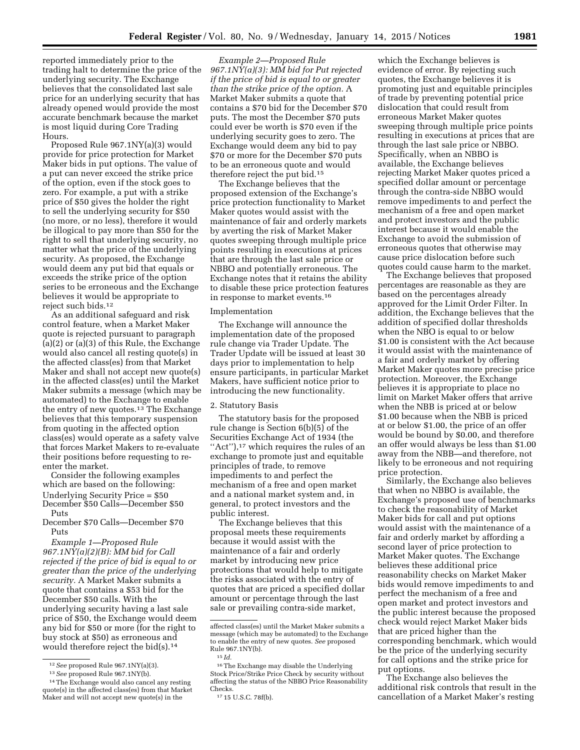reported immediately prior to the trading halt to determine the price of the underlying security. The Exchange believes that the consolidated last sale price for an underlying security that has already opened would provide the most accurate benchmark because the market is most liquid during Core Trading Hours.

Proposed Rule 967.1NY(a)(3) would provide for price protection for Market Maker bids in put options. The value of a put can never exceed the strike price of the option, even if the stock goes to zero. For example, a put with a strike price of \$50 gives the holder the right to sell the underlying security for \$50 (no more, or no less), therefore it would be illogical to pay more than \$50 for the right to sell that underlying security, no matter what the price of the underlying security. As proposed, the Exchange would deem any put bid that equals or exceeds the strike price of the option series to be erroneous and the Exchange believes it would be appropriate to reject such bids.12

As an additional safeguard and risk control feature, when a Market Maker quote is rejected pursuant to paragraph (a)(2) or (a)(3) of this Rule, the Exchange would also cancel all resting quote(s) in the affected class(es) from that Market Maker and shall not accept new quote(s) in the affected class(es) until the Market Maker submits a message (which may be automated) to the Exchange to enable the entry of new quotes.<sup>13</sup> The Exchange believes that this temporary suspension from quoting in the affected option class(es) would operate as a safety valve that forces Market Makers to re-evaluate their positions before requesting to reenter the market.

Consider the following examples which are based on the following: Underlying Security Price = \$50 December \$50 Calls—December \$50 Puts

December \$70 Calls—December \$70 Puts

*Example 1—Proposed Rule 967.1NY(a)(2)(B): MM bid for Call rejected if the price of bid is equal to or greater than the price of the underlying security.* A Market Maker submits a quote that contains a \$53 bid for the December \$50 calls. With the underlying security having a last sale price of \$50, the Exchange would deem any bid for \$50 or more (for the right to buy stock at \$50) as erroneous and would therefore reject the bid(s).14

*Example 2—Proposed Rule 967.1NY(a)(3): MM bid for Put rejected if the price of bid is equal to or greater than the strike price of the option.* A Market Maker submits a quote that contains a \$70 bid for the December \$70 puts. The most the December \$70 puts could ever be worth is \$70 even if the underlying security goes to zero. The Exchange would deem any bid to pay \$70 or more for the December \$70 puts to be an erroneous quote and would therefore reject the put bid.15

The Exchange believes that the proposed extension of the Exchange's price protection functionality to Market Maker quotes would assist with the maintenance of fair and orderly markets by averting the risk of Market Maker quotes sweeping through multiple price points resulting in executions at prices that are through the last sale price or NBBO and potentially erroneous. The Exchange notes that it retains the ability to disable these price protection features in response to market events.16

#### Implementation

The Exchange will announce the implementation date of the proposed rule change via Trader Update. The Trader Update will be issued at least 30 days prior to implementation to help ensure participants, in particular Market Makers, have sufficient notice prior to introducing the new functionality.

#### 2. Statutory Basis

The statutory basis for the proposed rule change is Section 6(b)(5) of the Securities Exchange Act of 1934 (the "Act"),<sup>17</sup> which requires the rules of an exchange to promote just and equitable principles of trade, to remove impediments to and perfect the mechanism of a free and open market and a national market system and, in general, to protect investors and the public interest.

The Exchange believes that this proposal meets these requirements because it would assist with the maintenance of a fair and orderly market by introducing new price protections that would help to mitigate the risks associated with the entry of quotes that are priced a specified dollar amount or percentage through the last sale or prevailing contra-side market,

which the Exchange believes is evidence of error. By rejecting such quotes, the Exchange believes it is promoting just and equitable principles of trade by preventing potential price dislocation that could result from erroneous Market Maker quotes sweeping through multiple price points resulting in executions at prices that are through the last sale price or NBBO. Specifically, when an NBBO is available, the Exchange believes rejecting Market Maker quotes priced a specified dollar amount or percentage through the contra-side NBBO would remove impediments to and perfect the mechanism of a free and open market and protect investors and the public interest because it would enable the Exchange to avoid the submission of erroneous quotes that otherwise may cause price dislocation before such quotes could cause harm to the market.

The Exchange believes that proposed percentages are reasonable as they are based on the percentages already approved for the Limit Order Filter. In addition, the Exchange believes that the addition of specified dollar thresholds when the NBO is equal to or below \$1.00 is consistent with the Act because it would assist with the maintenance of a fair and orderly market by offering Market Maker quotes more precise price protection. Moreover, the Exchange believes it is appropriate to place no limit on Market Maker offers that arrive when the NBB is priced at or below \$1.00 because when the NBB is priced at or below \$1.00, the price of an offer would be bound by \$0.00, and therefore an offer would always be less than \$1.00 away from the NBB—and therefore, not likely to be erroneous and not requiring price protection.

Similarly, the Exchange also believes that when no NBBO is available, the Exchange's proposed use of benchmarks to check the reasonability of Market Maker bids for call and put options would assist with the maintenance of a fair and orderly market by affording a second layer of price protection to Market Maker quotes. The Exchange believes these additional price reasonability checks on Market Maker bids would remove impediments to and perfect the mechanism of a free and open market and protect investors and the public interest because the proposed check would reject Market Maker bids that are priced higher than the corresponding benchmark, which would be the price of the underlying security for call options and the strike price for put options.

The Exchange also believes the additional risk controls that result in the cancellation of a Market Maker's resting

<sup>12</sup>*See* proposed Rule 967.1NY(a)(3).

<sup>13</sup>*See* proposed Rule 967.1NY(b).

<sup>14</sup>The Exchange would also cancel any resting quote(s) in the affected class(es) from that Market Maker and will not accept new quote(s) in the

affected class(es) until the Market Maker submits a message (which may be automated) to the Exchange to enable the entry of new quotes. *See* proposed Rule 967.1NY(b).

<sup>15</sup> *Id.* 

<sup>16</sup>The Exchange may disable the Underlying Stock Price/Strike Price Check by security without affecting the status of the NBBO Price Reasonability Checks.

<sup>17</sup> 15 U.S.C. 78f(b).